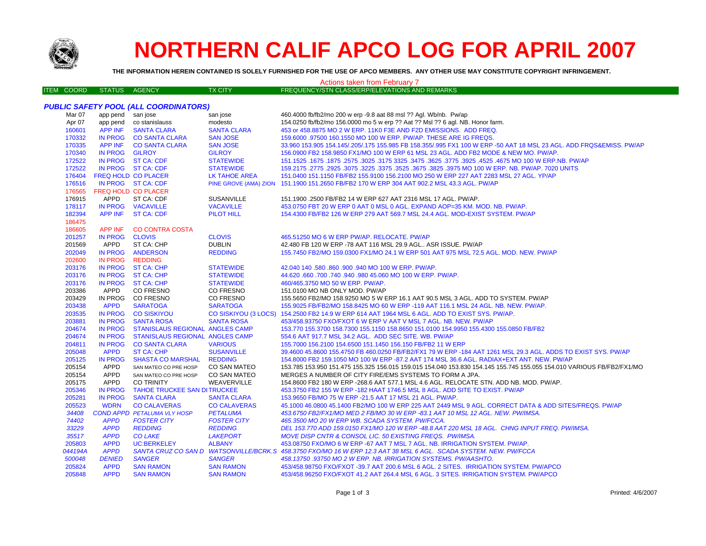

# **NORTHERN CALIF APCO LOG FOR APRIL 2007**

**THE INFORMATION HEREIN CONTAINED IS SOLELY FURNISHED FOR THE USE OF APCO MEMBERS. ANY OTHER USE MAY CONSTITUTE COPYRIGHT INFRINGEMENT.**

| Actions taken from February 7 |                   |                            |                                            |                                  |                                                                                                                                                                        |  |
|-------------------------------|-------------------|----------------------------|--------------------------------------------|----------------------------------|------------------------------------------------------------------------------------------------------------------------------------------------------------------------|--|
|                               | <b>ITEM COORD</b> | <b>STATUS</b>              | AGENCY                                     | <b>TX CITY</b>                   | FREQUENCY/STN CLASS/ERP/ELEVATIONS AND REMARKS                                                                                                                         |  |
|                               |                   |                            |                                            |                                  |                                                                                                                                                                        |  |
|                               |                   |                            | PUBLIC SAFETY POOL (ALL COORDINATORS)      |                                  |                                                                                                                                                                        |  |
|                               | Mar 07            | app pend san jose          |                                            | san jose                         | 460.4000 fb/fb2/mo 200 w erp -9.8 aat 88 msl ?? Agl. Wb/nb. Pw/ap                                                                                                      |  |
|                               | Apr 07            |                            | app pend co stanislauss                    | modesto                          | 154.0250 fb/fb2/mo 156.0000 mo 5 w erp ?? Aat ?? Msl ?? 6 agl. NB. Honor farm.                                                                                         |  |
|                               | 160601            | <b>APP INF</b>             | <b>SANTA CLARA</b>                         | <b>SANTA CLARA</b>               | 453 or 458.8875 MO 2 W ERP. 11K0 F3E AND F2D EMISSIONS. ADD FREQ.                                                                                                      |  |
|                               | 170332            |                            | IN PROG CO SANTA CLARA                     | <b>SAN JOSE</b>                  | 159,6000 .97500 160.1550 MO 100 W ERP. PW/AP. THESE ARE IG FREQS.                                                                                                      |  |
|                               | 170335            |                            | APP INF CO SANTA CLARA                     | <b>SAN JOSE</b>                  | 33.960 153.905 154.145/.205/.175 155.985 FB 158.355/.995 FX1 100 W ERP -50 AAT 18 MSL 23 AGL. ADD FRQS&EMISS. PW/AP                                                    |  |
|                               | 170340            | IN PROG GILROY             |                                            | <b>GILROY</b>                    | 156.0900 FB2 158.9850 FX1/MO 100 W ERP 61 MSL 23 AGL. ADD FB2 MODE & NEW MO. PW/AP.                                                                                    |  |
|                               | 172522            |                            | IN PROG ST CA: CDF                         | <b>STATEWIDE</b>                 | 151.1525 .1675 .1677 .3625 .4525 .4525 .4525 .3925 .3775 .3625 .3775 .3625 .3625 .1675 .1677 .1625 .1679 .167                                                          |  |
|                               | 172522            |                            | IN PROG ST CA: CDF                         | <b>STATEWIDE</b>                 | 159.2175 .2775 .2925 .3075 .3225 .3525 .3625 .3675 .3825 .3825 .3975 MO 100 W ERP. NB. PW/AP. 7020 UNITS                                                               |  |
|                               | 176404            | FREQ HOLD CO PLACER        |                                            | LK TAHOE AREA                    | 151.0400 151.1150 FB/FB2 155.9100 156.2100 MO 250 W ERP 227 AAT 2283 MSL 27 AGL. YP/AP                                                                                 |  |
|                               | 176516            |                            | IN PROG ST CA: CDF                         |                                  | PINE GROVE (AMA) ZION 151.1900 151.2650 FB/FB2 170 W ERP 304 AAT 902.2 MSL 43.3 AGL. PW/AP                                                                             |  |
|                               | 176565            | FREQ HOLD CO PLACER        |                                            |                                  |                                                                                                                                                                        |  |
|                               | 176915            | APPD                       | ST CA: CDF                                 | <b>SUSANVILLE</b>                | 151.1900 .2500 FB/FB2 14 W ERP 627 AAT 2316 MSL 17 AGL. PW/AP.                                                                                                         |  |
|                               | 178117            |                            | IN PROG VACAVILLE                          | <b>VACAVILLE</b>                 | 453.0750 FBT 20 W ERP 0 AAT 0 MSL 0 AGL. EXPAND AOP=35 KM. MOD. NB. PW/AP.                                                                                             |  |
|                               | 182394            |                            | APP INF ST CA: CDF                         | <b>PILOT HILL</b>                | 154.4300 FB/FB2 126 W ERP 279 AAT 569.7 MSL 24.4 AGL, MOD-EXIST SYSTEM, PW/AP                                                                                          |  |
|                               | 186475            |                            |                                            |                                  |                                                                                                                                                                        |  |
|                               | 186605            | APP INF                    | <b>CO CONTRA COSTA</b>                     |                                  |                                                                                                                                                                        |  |
|                               | 201257            | IN PROG CLOVIS             |                                            | <b>CLOVIS</b>                    | 465.51250 MO 6 W ERP PW/AP. RELOCATE. PW/AP                                                                                                                            |  |
|                               | 201569            | APPD                       | ST CA: CHP                                 | <b>DUBLIN</b>                    | 42.480 FB 120 W ERP -78 AAT 116 MSL 29.9 AGL., ASR ISSUE, PW/AP                                                                                                        |  |
|                               | 202049            |                            | IN PROG ANDERSON                           | <b>REDDING</b>                   | 155.7450 FB2/MO 159.0300 FX1/MO 24.1 W ERP 501 AAT 975 MSL 72.5 AGL, MOD, NEW, PW/AP                                                                                   |  |
|                               | 202600            | IN PROG REDDING            |                                            |                                  |                                                                                                                                                                        |  |
|                               | 203176            |                            | IN PROG ST CA: CHP                         | <b>STATEWIDE</b>                 | 42.040 140 .580 .860 .900 .940 MO 100 W ERP. PW/AP.                                                                                                                    |  |
|                               | 203176            |                            | IN PROG ST CA: CHP                         | <b>STATEWIDE</b>                 | 44.620 .660 .700 .740 .940 .980 45.060 MO 100 W ERP. PW/AP.                                                                                                            |  |
|                               | 203176            |                            | IN PROG ST CA: CHP                         | <b>STATEWIDE</b>                 | 460/465.3750 MO 50 W ERP. PW/AP.                                                                                                                                       |  |
|                               | 203386            | APPD                       | CO FRESNO                                  | CO FRESNO                        | 151.0100 MO NB ONLY MOD. PW/AP                                                                                                                                         |  |
|                               | 203429            |                            | IN PROG CO FRESNO                          | CO FRESNO                        | 155.5650 FB2/MO 158.9250 MO 5 W ERP 16.1 AAT 90.5 MSL 3 AGL. ADD TO SYSTEM. PW/AP                                                                                      |  |
|                               | 203438            | <b>APPD</b>                | <b>SARATOGA</b>                            | <b>SARATOGA</b>                  | 155.9025 FB/FB2/MO 158.8425 MO 60 W ERP -119 AAT 116.1 MSL 24 AGL. NB. NEW. PW/AP.                                                                                     |  |
|                               | 203535            |                            | IN PROG CO SISKIYOU                        |                                  | CO SISKIYOU (3 LOCS) 154.2500 FB2 14.9 W ERP 614 AAT 1964 MSL 6 AGL. ADD TO EXIST SYS. PW/AP.                                                                          |  |
|                               | 203881            |                            | IN PROG SANTA ROSA                         | <b>SANTA ROSA</b>                | 453/458.93750 FXO/FXOT 6 W ERP V AAT V MSL 7 AGL. NB. NEW. PW/AP                                                                                                       |  |
|                               | 204674            | <b>IN PROG</b>             | STANISLAUS REGIONAL ANGLES CAMP            |                                  | 153.770 155.3700 158.7300 155.1150 158.8650 151.0100 154.9950 155.4300 155.0850 FB/FB2                                                                                 |  |
|                               | 204674            |                            | IN PROG STANISLAUS REGIONAL ANGLES CAMP    |                                  | 554.6 AAT 917.7 MSL 34.2 AGL. ADD SEC SITE. WB. PW/AP                                                                                                                  |  |
|                               | 204811            | <b>IN PROG</b>             | <b>CO SANTA CLARA</b>                      | <b>VARIOUS</b>                   | 155.7000 156.2100 154.6500 151.1450 156.150 FB/FB2 11 W ERP                                                                                                            |  |
|                               | 205048            | <b>APPD</b>                | <b>ST CA: CHP</b>                          | <b>SUSANVILLE</b>                | 39.4600 45.8600 155.4750 FB 460.0250 FB/FB2/FX1 79 W ERP -184 AAT 1261 MSL 29.3 AGL. ADDS TO EXIST SYS. PW/AP                                                          |  |
|                               | 205125            | <b>IN PROG</b>             | <b>SHASTA CO MARSHAL</b>                   | <b>REDDING</b>                   | 154.8000 FB2 159.1050 MO 100 W ERP -87.2 AAT 174 MSL 36.6 AGL. RADIAX+EXT ANT. NEW. PW/AP                                                                              |  |
|                               | 205154            | APPD                       | SAN MATEO CO PRE HOSP                      | <b>CO SAN MATEO</b>              | 153.785 153.950 151.475 155.325 156.015 159.015 154.040 153.830 154.145 155.745 155.055 154.010 VARIOUS FB/FB2/FX1/MO                                                  |  |
|                               | 205154            | APPD<br><b>APPD</b>        | SAN MATEO CO PRE HOSP<br><b>CO TRINITY</b> | CO SAN MATEO<br>WEAVERVILLE      | MERGES A NUMBER OF CITY FIRE/EMS SYSTEMS TO FORM A JPA.                                                                                                                |  |
|                               | 205175<br>205346  |                            | IN PROG TAHOE TRUCKEE SAN DITRUCKEE        |                                  | 154.8600 FB2 180 W ERP -268.6 AAT 577.1 MSL 4.6 AGL. RELOCATE STN. ADD NB. MOD. PW/AP.<br>453.3750 FB2 155 W ERP - 182 HAAT 1746.5 MSL 8 AGL. ADD SITE TO EXIST. PW/AP |  |
|                               | 205281            | <b>IN PROG</b>             | <b>SANTA CLARA</b>                         | <b>SANTA CLARA</b>               | 153.9650 FB/MO 75 W ERP -21.5 AAT 17 MSL 21 AGL. PW/AP.                                                                                                                |  |
|                               | 205523            | <b>WDRN</b>                | <b>CO CALAVERAS</b>                        | <b>CO CALAVERAS</b>              | 45.1000 46.0800 45.1400 FB2/MO 100 W ERP 225 AAT 2449 MSL 9 AGL. CORRECT DATA & ADD SITES/FREQS. PW/AP                                                                 |  |
|                               | 34408             |                            | COND APPD PETALUMA VLY HOSP                | PETALUMA                         | 453.6750 FB2/FX1/MO MED 2 FB/MO 30 W ERP -83.1 AAT 10 MSL 12 AGL. NEW. PW/IMSA.                                                                                        |  |
|                               | 74402             | <b>APPD</b>                | <b>FOSTER CITY</b>                         | <b>FOSTER CITY</b>               | 465.3500 MO 20 W ERP WB. SCADA SYSTEM. PW/FCCA.                                                                                                                        |  |
|                               |                   |                            |                                            |                                  |                                                                                                                                                                        |  |
|                               | 33229<br>35517    | <b>APPD</b>                | <b>REDDING</b><br><b>CO LAKE</b>           | <b>REDDING</b>                   | DEL 153.770 ADD 159.0150 FX1/MO 120 W ERP -48.8 AAT 220 MSL 18 AGL. CHNG INPUT FREQ. PW/IMSA.                                                                          |  |
|                               | 205803            | <b>APPD</b><br><b>APPD</b> | <b>UC:BERKELEY</b>                         | <b>LAKEPORT</b><br><b>ALBANY</b> | MOVE DISP CNTR & CONSOL LIC. 50 EXISTING FREQS. PW/IMSA.<br>453.08750 FXO/MO 6 W ERP -67 AAT 7 MSL 7 AGL. NB. IRRIGATION SYSTEM. PW/AP.                                |  |
|                               | 044194A           | <b>APPD</b>                |                                            |                                  | SANTA CRUZ CO SAN D WATSONVILLE/BCRK.S 458.3750 FXO/MO 16 W ERP 12.3 AAT 38 MSL 6 AGL. SCADA SYSTEM. NEW. PW/FCCA                                                      |  |
|                               | 500048            | <b>DENIED</b>              | <b>SANGER</b>                              | <b>SANGER</b>                    | 458.13750.93750 MO 2 W ERP. NB. IRRIGATION SYSTEMS. PW/AASHTO.                                                                                                         |  |
|                               | 205824            | <b>APPD</b>                | <b>SAN RAMON</b>                           | <b>SAN RAMON</b>                 | 453/458.98750 FXO/FXOT -39.7 AAT 200.6 MSL 6 AGL. 2 SITES. IRRIGATION SYSTEM. PW/APCO                                                                                  |  |
|                               | 205848            | <b>APPD</b>                | <b>SAN RAMON</b>                           | <b>SAN RAMON</b>                 | 453/458.96250 FXO/FXOT 41.2 AAT 264.4 MSL 6 AGL, 3 SITES, IRRIGATION SYSTEM, PW/APCO                                                                                   |  |
|                               |                   |                            |                                            |                                  |                                                                                                                                                                        |  |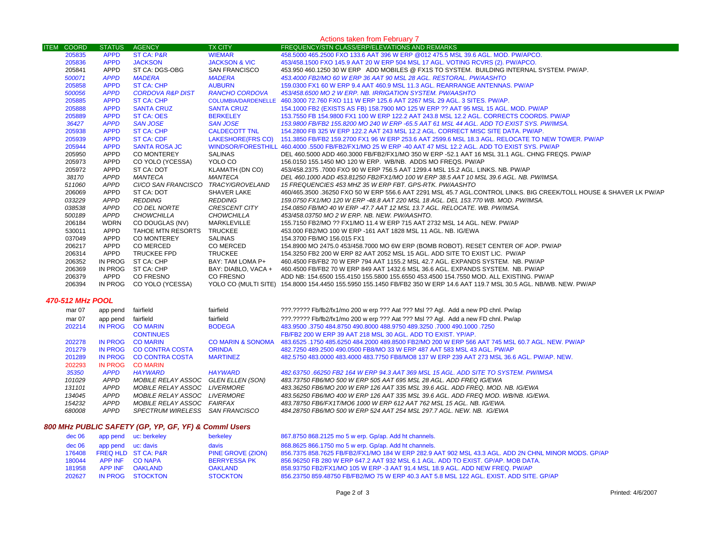|                             | Actions taken from February 7 |                                     |                          |                                                                                                                          |  |  |
|-----------------------------|-------------------------------|-------------------------------------|--------------------------|--------------------------------------------------------------------------------------------------------------------------|--|--|
| <b>ITEM</b><br><b>COORD</b> | <b>STATUS</b>                 | <b>AGENCY</b>                       | <b>TX CITY</b>           | FREQUENCY/STN CLASS/ERP/ELEVATIONS AND REMARKS                                                                           |  |  |
| 205835                      | <b>APPD</b>                   | <b>ST CA: P&amp;R</b>               | <b>WIEMAR</b>            | 458,5000 465,2500 FXO 133.6 AAT 396 W ERP @012 475.5 MSL 39.6 AGL, MOD, PW/APCO,                                         |  |  |
| 205836                      | <b>APPD</b>                   | <b>JACKSON</b>                      | <b>JACKSON &amp; VIC</b> | 453/458.1500 FXO 145.9 AAT 20 W ERP 504 MSL 17 AGL. VOTING RCVRS (2). PW/APCO.                                           |  |  |
| 205841                      | APPD                          | ST CA: DGS-OBG                      | <b>SAN FRANCISCO</b>     | 453,950 460,1250 30 W ERP ADD MOBILES @ FX1S TO SYSTEM. BUILDING INTERNAL SYSTEM, PW/AP.                                 |  |  |
| 500071                      | <b>APPD</b>                   | MADERA                              | <b>MADERA</b>            | 453.4000 FB2/MO 60 W ERP 36 AAT 90 MSL 28 AGL. RESTORAL. PW/AASHTO                                                       |  |  |
| 205858                      | <b>APPD</b>                   | ST CA: CHP                          | <b>AUBURN</b>            | 159,0300 FX1 60 W ERP 9.4 AAT 460.9 MSL 11.3 AGL. REARRANGE ANTENNAS, PW/AP                                              |  |  |
| 500056                      | <b>APPD</b>                   | <b>CORDOVA R&amp;P DIST</b>         | RANCHO CORDOVA           | 453/458.6500 MO 2 W ERP. NB. IRRIGATION SYSTEM. PW/AASHTO                                                                |  |  |
| 205885                      | <b>APPD</b>                   | ST CA: CHP                          |                          | COLUMBIA/DARDENELLE 460.3000 72.760 FXO 111 W ERP 125.6 AAT 2267 MSL 29 AGL, 3 SITES, PW/AP.                             |  |  |
| 205888                      | <b>APPD</b>                   | <b>SANTA CRUZ</b>                   | <b>SANTA CRUZ</b>        | 154.1000 FB2 (EXISTS AS FB) 158.7900 MO 125 W ERP ?? AAT 95 MSL 15 AGL. MOD. PW/AP                                       |  |  |
| 205889                      | <b>APPD</b>                   | ST CA: OES                          | BERKELEY                 | 153.7550 FB 154.9800 FX1 100 W ERP 122.2 AAT 243.8 MSL 12.2 AGL, CORRECTS COORDS, PW/AP                                  |  |  |
| 36427                       | <b>APPD</b>                   | <b>SAN JOSE</b>                     | <b>SAN JOSE</b>          | 153.9800 FB/FB2 155.8200 MO 240 W ERP -65.5 AAT 61 MSL 44 AGL. ADD TO EXIST SYS. PW/IMSA.                                |  |  |
| 205938                      | <b>APPD</b>                   | ST CA: CHP                          | <b>CALDECOTT TNL</b>     | 154.2800 FB 325 W ERP 122.2 AAT 243 MSL 12.2 AGL. CORRECT MISC SITE DATA. PW/AP.                                         |  |  |
| 205939                      | <b>APPD</b>                   | <b>ST CA: CDF</b>                   |                          | LAKESHORE(FRS CO) 151.3850 FB/FB2 159.2700 FX1 96 W ERP 253.6 AAT 2599.6 MSL 18.3 AGL. RELOCATE TO NEW TOWER. PW/AP      |  |  |
| 205944                      | <b>APPD</b>                   | <b>SANTA ROSA JC</b>                |                          | WINDSOR/FORESTHILL 460.4000 .5500 FB/FB2/FX1/MO 25 W ERP -40 AAT 47 MSL 12.2 AGL. ADD TO EXIST SYS. PW/AP                |  |  |
| 205950                      | APPD                          | CO MONTEREY                         | SALINAS                  | DEL 460.5000 ADD 460.3000 FB/FB2/FX1/MO 350 W ERP -52.1 AAT 16 MSL 31.1 AGL. CHNG FREQS. PW/AP                           |  |  |
| 205973                      | APPD                          | CO YOLO (YCESSA)                    | YOLO CO                  | 156,0150 155,1450 MO 120 W ERP. WB/NB. ADDS MO FREQS. PW/AP                                                              |  |  |
| 205972                      | APPD                          | ST CA: DOT                          | KLAMATH (DN CO)          | 453/458.2375 .7000 FXO 90 W ERP 756.5 AAT 1299.4 MSL 15.2 AGL. LINKS. NB. PW/AP                                          |  |  |
| 38170                       | <b>APPD</b>                   | MANTECA                             | MANTECA                  | DEL 460.1000 ADD 453.81250 FB2/FX1/MO 100 W ERP 38.5 AAT 10 MSL 39.6 AGL. NB. PW/IMSA.                                   |  |  |
| 511060                      | APPD                          | CI/CO SAN FRANCISCO TRACY/GROVELAND |                          | 15 FREQUENCIES 453 MHZ 35 W ERP FBT. GPS-RTK. PW/AASHTO                                                                  |  |  |
| 206069                      | APPD                          | ST CA: DOT                          | SHAVER LAKE              | 460/465.3500 .36250 FXO 50 W ERP 556.6 AAT 2291 MSL 45.7 AGL.CONTROL LINKS. BIG CREEK/TOLL HOUSE & SHAVER LK PW/AP       |  |  |
| 033229                      | APPD                          | REDDING                             | REDDING                  | 159.0750 FX1/MO 120 W ERP -48.8 AAT 220 MSL 18 AGL. DEL 153.770 WB. MOD. PW/IMSA.                                        |  |  |
| 038538                      | APPD                          | CO DEL NORTE                        | CRESCENT CITY            | 154.0850 FB/MO 40 W ERP -47.7 AAT 12 MSL 13.7 AGL. RELOCATE. WB. PW/IMSA.                                                |  |  |
| 500189                      | APPD                          | CHOWCHILLA                          | CHOWCHILLA               | 453/458.03750 MO 2 W ERP. NB. NEW. PW/AASHTO.                                                                            |  |  |
| 206184                      | <b>WDRN</b>                   | CO DOUGLAS (NV)                     | MARKLEVILLE              | 155.7150 FB2/MO ?? FX1/MO 11.4 W ERP 715 AAT 2732 MSL 14 AGL. NEW. PW/AP                                                 |  |  |
| 530011                      | APPD                          | TAHOE MTN RESORTS TRUCKEE           |                          | 453,000 FB2/MO 100 W ERP -161 AAT 1828 MSL 11 AGL, NB, IG/EWA                                                            |  |  |
| 037049                      | APPD                          | <b>CO MONTEREY</b>                  | SALINAS                  | 154.3700 FB/MO 156.015 FX1                                                                                               |  |  |
| 206217                      | APPD                          | CO MERCED                           | CO MERCED                | 154.8900 MO 2475.0 453/458.7000 MO 6W ERP (BOMB ROBOT). RESET CENTER OF AOP. PW/AP                                       |  |  |
| 206314                      | APPD                          | TRUCKEE FPD                         | TRUCKEE                  | 154,3250 FB2 200 W ERP 82 AAT 2052 MSL 15 AGL. ADD SITE TO EXIST LIC. PW/AP                                              |  |  |
| 206352                      | IN PROG                       | ST CA: CHP                          | BAY: TAM LOMA P+         | 460.4500 FB/FB2 70 W ERP 794 AAT 1155.2 MSL 42.7 AGL. EXPANDS SYSTEM. NB. PW/AP                                          |  |  |
| 206369                      |                               | IN PROG ST CA: CHP                  | BAY: DIABLO, VACA +      | 460.4500 FB/FB2 70 W ERP 849 AAT 1432.6 MSL 36.6 AGL. EXPANDS SYSTEM. NB. PW/AP                                          |  |  |
| 206379                      | APPD                          | <b>CO FRESNO</b>                    | CO FRESNO                | ADD NB: 154.6500 155.4150 155.5800 155.6550 453.4500 154.7550 MOD. ALL EXISTING. PW/AP                                   |  |  |
| 206394                      |                               | IN PROG CO YOLO (YCESSA)            |                          | YOLO CO (MULTI SITE) 154.8000 154.4450 155.5950 155.1450 FB/FB2 350 W ERP 14.6 AAT 119.7 MSL 30.5 AGL. NB/WB. NEW. PW/AP |  |  |

#### *470-512 MHz POOL*

| mar 07 | app pend    | fairfield                           | fairfield                    | ???.????? Fb/fb2/fx1/mo 200 w erp ??? Aat ??? Msl ?? Agl. Add a new PD chnl. Pw/ap              |
|--------|-------------|-------------------------------------|------------------------------|-------------------------------------------------------------------------------------------------|
| mar 07 | app pend    | fairfield                           | fairfield                    | ???.????? Fb/fb2/fx1/mo 200 w erp ??? Aat ??? Msl ?? Agl. Add a new FD chnl. Pw/ap              |
| 202214 | IN PROG     | <b>CO MARIN</b>                     | <b>BODEGA</b>                | 483.9500 .3750 484.8750 490.8000 488.9750 489.3250 .7000 490.1000 .3750                         |
|        |             | <b>CONTINUES</b>                    |                              | FB/FB2 200 W ERP 39 AAT 218 MSL 30 AGL, ADD TO EXIST, YP/AP.                                    |
| 202278 | IN PROG     | <b>CO MARIN</b>                     | <b>CO MARIN &amp; SONOMA</b> | 483,6525 .1750 485,6250 484,2000 489,8500 FB2/MO 200 W ERP 566 AAT 745 MSL 60.7 AGL. NEW, PW/AP |
| 201279 | IN PROG     | <b>CO CONTRA COSTA</b>              | <b>ORINDA</b>                | 482.7250 489.2500 490.0500 FB8/MO 33 W ERP 487 AAT 583 MSL 43 AGL. PW/AP                        |
| 201289 | IN PROG     | CO CONTRA COSTA                     | <b>MARTINEZ</b>              | 482,5750 483,0000 483,4000 483,7750 FB8/MO8 137 W ERP 239 AAT 273 MSL 36.6 AGL, PW/AP, NEW.     |
| 202293 | IN PROG     | <b>CO MARIN</b>                     |                              |                                                                                                 |
| 35350  | <b>APPD</b> | HAYWARD                             | <b>HAYWARD</b>               | 482.63750.66250 FB2 164 W ERP 94.3 AAT 369 MSL 15 AGL. ADD SITE TO SYSTEM. PW/IMSA              |
| 101029 | <b>APPD</b> | MOBILE RELAY ASSOC GLEN ELLEN (SON) |                              | 483.73750 FB6/MO 500 W ERP 505 AAT 695 MSL 28 AGL. ADD FREQ IG/EWA                              |
| 131101 | APPD        | MOBILE RELAY ASSOC                  | <i><b>I IVERMORE</b></i>     | 483.36250 FB6/MO 200 W ERP 126 AAT 335 MSL 39.6 AGL. ADD FREQ. MOD. NB. IG/EWA                  |
| 134045 | APPD        | MOBILE RELAY ASSOC LIVERMORE        |                              | 483.56250 FB6/MO 400 W ERP 126 AAT 335 MSL 39.6 AGL. ADD FREQ MOD. WB/NB. IG/EWA.               |
| 154232 | APPD        | MOBILE RELAY ASSOC FAIRFAX          |                              | 483.78750 FB6/FX1T/MO6 1000 W ERP 612 AAT 762 MSL 15 AGL. NB. IG/EWA.                           |
| 680008 | APPD        | <i>SPECTRUM WIRELESS</i>            | SAN FRANCISCO                | 484.28750 FB6/MO 500 W ERP 524 AAT 254 MSL 297.7 AGL, NEW, NB, IG/EWA                           |

### *800 MHz PUBLIC SAFETY (GP, YP, GF, YF) & Comml Users*

| dec 06 |                    | app pend uc: berkeley          | berkeley                 | 867.8750 868.2125 mo 5 w erp. Gp/ap. Add ht channels.                                               |
|--------|--------------------|--------------------------------|--------------------------|-----------------------------------------------------------------------------------------------------|
| dec 06 | app pend uc: davis |                                | davis                    | 868.8625 866.1750 mo 5 w erp. Gp/ap. Add ht channels.                                               |
| 176408 |                    | <b>FREQ HLD ST CA: P&amp;R</b> | <b>PINE GROVE (ZION)</b> | 856.7375 858.7625 FB/FB2/FX1/MO 184 W ERP 282.9 AAT 902 MSL 43.3 AGL. ADD 2N CHNL MINOR MODS, GP/AP |
| 180044 |                    | APP INF CONAPA                 | <b>BERRYESSA PK</b>      | 856,96250 FB 280 W ERP 647.2 AAT 932 MSL 6.1 AGL, ADD TO EXIST, GP/AP, MOB DATA,                    |
| 181958 |                    | APP INF OAKLAND                | <b>OAKLAND</b>           | 858.93750 FB2/FX1/MO 105 W ERP -3 AAT 91.4 MSL 18.9 AGL, ADD NEW FREQ, PW/AP                        |
| 202627 |                    | IN PROG STOCKTON               | <b>STOCKTON</b>          | 856.23750 859.48750 FB/FB2/MO 75 W ERP 40.3 AAT 5.8 MSL 122 AGL. EXIST. ADD SITE. GP/AP             |